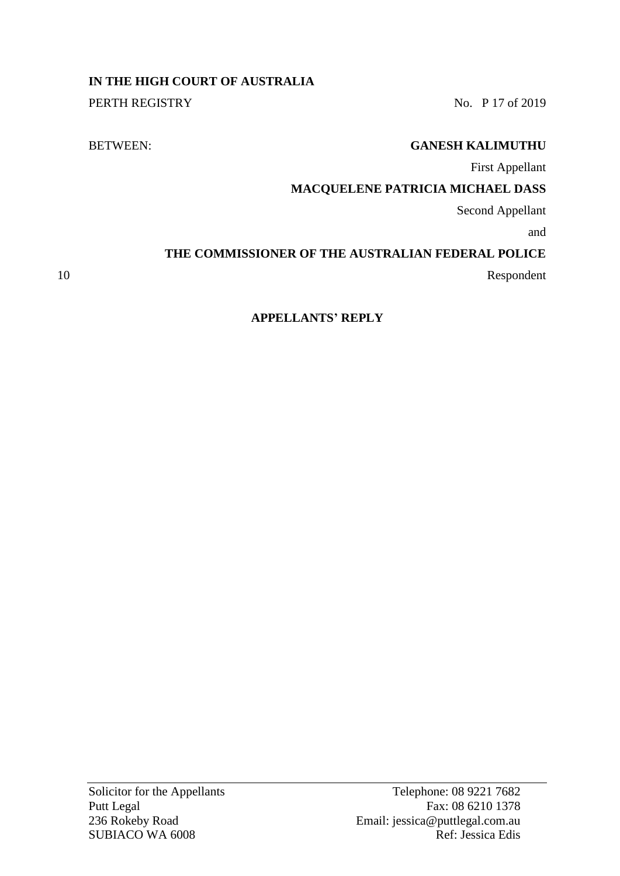# **IN THE HIGH COURT OF AUSTRALIA**

PERTH REGISTRY No. P 17 of 2019

## BETWEEN: **GANESH KALIMUTHU**

First Appellant

## **MACQUELENE PATRICIA MICHAEL DASS**

Second Appellant

and

# **THE COMMISSIONER OF THE AUSTRALIAN FEDERAL POLICE**

10 Respondent

# **APPELLANTS' REPLY**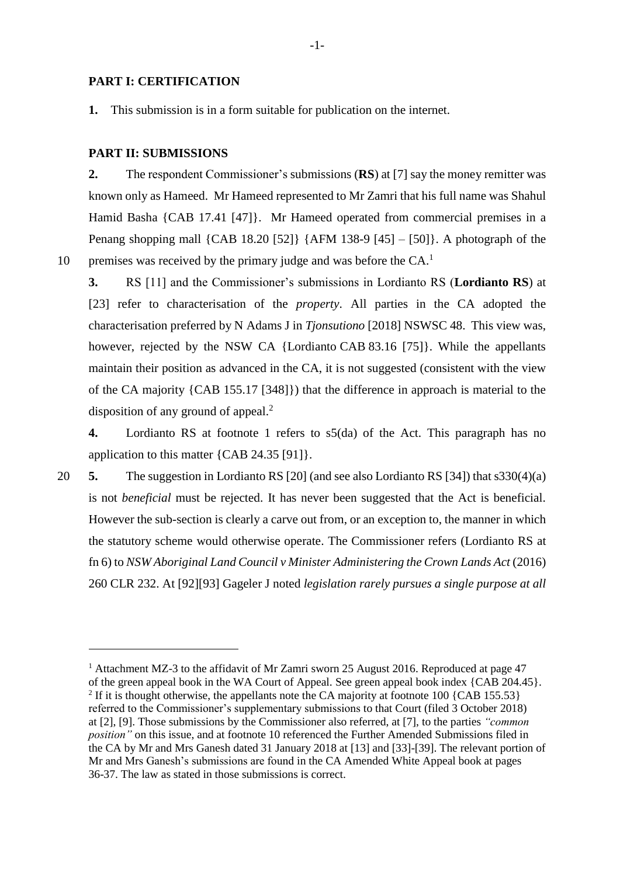#### **PART I: CERTIFICATION**

**1.** This submission is in a form suitable for publication on the internet.

#### **PART II: SUBMISSIONS**

**2.** The respondent Commissioner's submissions (**RS**) at [7] say the money remitter was known only as Hameed. Mr Hameed represented to Mr Zamri that his full name was Shahul Hamid Basha {CAB 17.41 [47]}. Mr Hameed operated from commercial premises in a Penang shopping mall {CAB 18.20 [52]} {AFM 138-9 [45] – [50]}. A photograph of the premises was received by the primary judge and was before the  $CA$ .<sup>1</sup>

10

<u>.</u>

**3.** RS [11] and the Commissioner's submissions in Lordianto RS (**Lordianto RS**) at [23] refer to characterisation of the *property*. All parties in the CA adopted the characterisation preferred by N Adams J in *Tjonsutiono* [2018] NSWSC 48. This view was, however, rejected by the NSW CA {Lordianto CAB 83.16 [75]}. While the appellants maintain their position as advanced in the CA, it is not suggested (consistent with the view of the CA majority {CAB 155.17 [348]}) that the difference in approach is material to the disposition of any ground of appeal. 2

**4.** Lordianto RS at footnote 1 refers to s5(da) of the Act. This paragraph has no application to this matter {CAB 24.35 [91]}.

20 **5.** The suggestion in Lordianto RS [20] (and see also Lordianto RS [34]) that s330(4)(a) is not *beneficial* must be rejected. It has never been suggested that the Act is beneficial. However the sub-section is clearly a carve out from, or an exception to, the manner in which the statutory scheme would otherwise operate. The Commissioner refers (Lordianto RS at fn 6) to *NSW Aboriginal Land Council v Minister Administering the Crown Lands Act* (2016) 260 CLR 232. At [92][93] Gageler J noted *legislation rarely pursues a single purpose at all* 

<sup>&</sup>lt;sup>1</sup> Attachment MZ-3 to the affidavit of Mr Zamri sworn 25 August 2016. Reproduced at page 47 of the green appeal book in the WA Court of Appeal. See green appeal book index {CAB 204.45}. <sup>2</sup> If it is thought otherwise, the appellants note the CA majority at footnote 100 {CAB 155.53} referred to the Commissioner's supplementary submissions to that Court (filed 3 October 2018) at [2], [9]. Those submissions by the Commissioner also referred, at [7], to the parties *"common position"* on this issue, and at footnote 10 referenced the Further Amended Submissions filed in the CA by Mr and Mrs Ganesh dated 31 January 2018 at [13] and [33]-[39]. The relevant portion of Mr and Mrs Ganesh's submissions are found in the CA Amended White Appeal book at pages 36-37. The law as stated in those submissions is correct.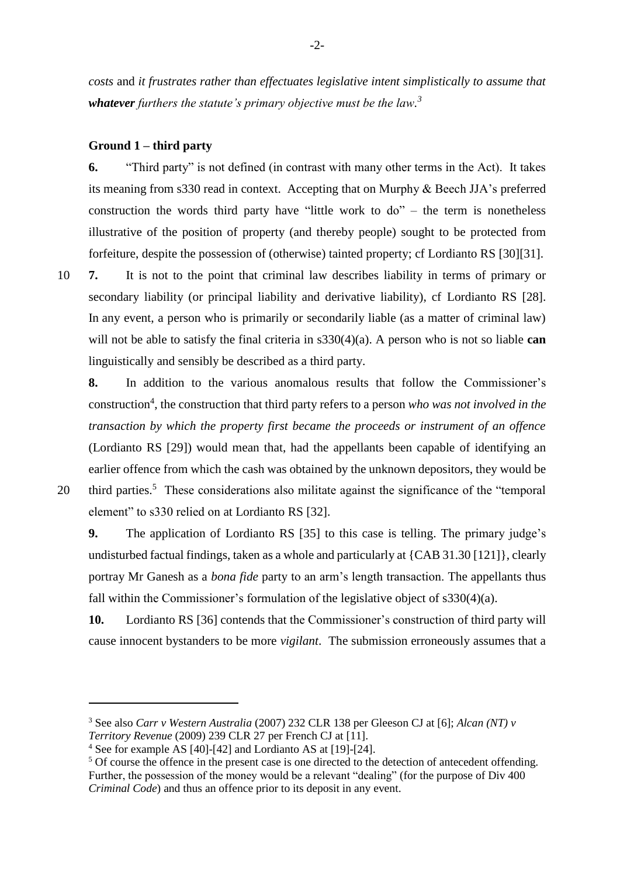*costs* and *it frustrates rather than effectuates legislative intent simplistically to assume that whatever furthers the statute's primary objective must be the law. 3*

### **Ground 1 – third party**

**6.** "Third party" is not defined (in contrast with many other terms in the Act). It takes its meaning from s330 read in context. Accepting that on Murphy & Beech JJA's preferred construction the words third party have "little work to  $do$ " – the term is nonetheless illustrative of the position of property (and thereby people) sought to be protected from forfeiture, despite the possession of (otherwise) tainted property; cf Lordianto RS [30][31].

10 **7.** It is not to the point that criminal law describes liability in terms of primary or secondary liability (or principal liability and derivative liability), cf Lordianto RS [28]. In any event, a person who is primarily or secondarily liable (as a matter of criminal law) will not be able to satisfy the final criteria in s330(4)(a). A person who is not so liable **can** linguistically and sensibly be described as a third party.

**8.** In addition to the various anomalous results that follow the Commissioner's construction<sup>4</sup>, the construction that third party refers to a person *who was not involved in the transaction by which the property first became the proceeds or instrument of an offence* (Lordianto RS [29]) would mean that, had the appellants been capable of identifying an earlier offence from which the cash was obtained by the unknown depositors, they would be 20 third parties.<sup>5</sup> These considerations also militate against the significance of the "temporal element" to s330 relied on at Lordianto RS [32].

<u>.</u>

**9.** The application of Lordianto RS [35] to this case is telling. The primary judge's undisturbed factual findings, taken as a whole and particularly at  ${CAB\ 31.30}$  [121], clearly portray Mr Ganesh as a *bona fide* party to an arm's length transaction. The appellants thus fall within the Commissioner's formulation of the legislative object of s330(4)(a).

**10.** Lordianto RS [36] contends that the Commissioner's construction of third party will cause innocent bystanders to be more *vigilant*. The submission erroneously assumes that a

<sup>3</sup> See also *Carr v Western Australia* (2007) 232 CLR 138 per Gleeson CJ at [6]; *Alcan (NT) v Territory Revenue* (2009) 239 CLR 27 per French CJ at [11].

<sup>4</sup> See for example AS [40]-[42] and Lordianto AS at [19]-[24].

<sup>&</sup>lt;sup>5</sup> Of course the offence in the present case is one directed to the detection of antecedent offending. Further, the possession of the money would be a relevant "dealing" (for the purpose of Div 400 *Criminal Code*) and thus an offence prior to its deposit in any event.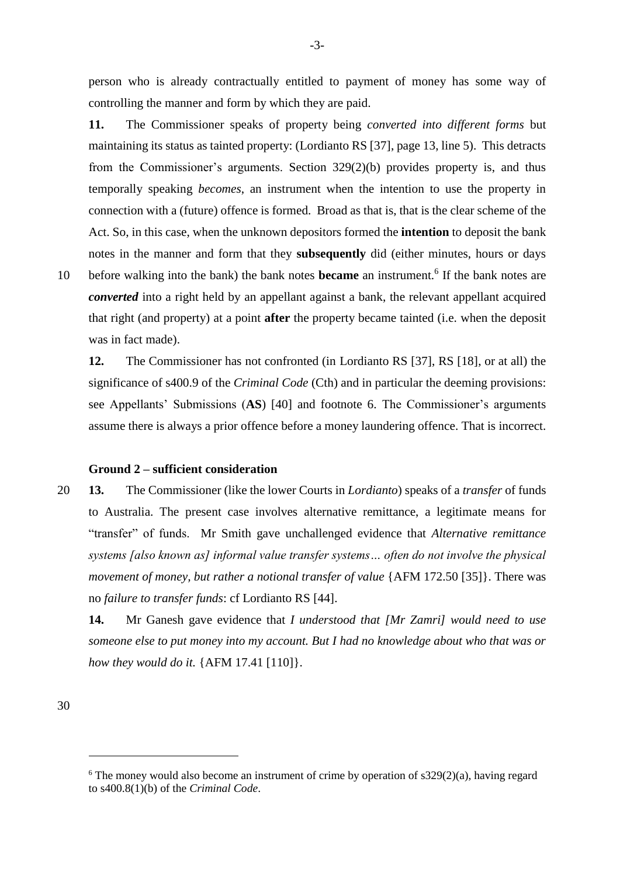person who is already contractually entitled to payment of money has some way of controlling the manner and form by which they are paid.

**11.** The Commissioner speaks of property being *converted into different forms* but maintaining its status as tainted property: (Lordianto RS [37], page 13, line 5). This detracts from the Commissioner's arguments. Section 329(2)(b) provides property is, and thus temporally speaking *becomes*, an instrument when the intention to use the property in connection with a (future) offence is formed. Broad as that is, that is the clear scheme of the Act. So, in this case, when the unknown depositors formed the **intention** to deposit the bank notes in the manner and form that they **subsequently** did (either minutes, hours or days

10 before walking into the bank) the bank notes **became** an instrument.<sup>6</sup> If the bank notes are *converted* into a right held by an appellant against a bank, the relevant appellant acquired that right (and property) at a point **after** the property became tainted (i.e. when the deposit was in fact made).

**12.** The Commissioner has not confronted (in Lordianto RS [37], RS [18], or at all) the significance of s400.9 of the *Criminal Code* (Cth) and in particular the deeming provisions: see Appellants' Submissions (**AS**) [40] and footnote 6. The Commissioner's arguments assume there is always a prior offence before a money laundering offence. That is incorrect.

### **Ground 2 – sufficient consideration**

20 **13.** The Commissioner (like the lower Courts in *Lordianto*) speaks of a *transfer* of funds to Australia. The present case involves alternative remittance, a legitimate means for "transfer" of funds. Mr Smith gave unchallenged evidence that *Alternative remittance systems [also known as] informal value transfer systems… often do not involve the physical movement of money, but rather a notional transfer of value* {AFM 172.50 [35]}. There was no *failure to transfer funds*: cf Lordianto RS [44].

**14.** Mr Ganesh gave evidence that *I understood that [Mr Zamri] would need to use someone else to put money into my account. But I had no knowledge about who that was or how they would do it.* {AFM 17.41 [110]}.

-

 $6$  The money would also become an instrument of crime by operation of s329(2)(a), having regard to s400.8(1)(b) of the *Criminal Code*.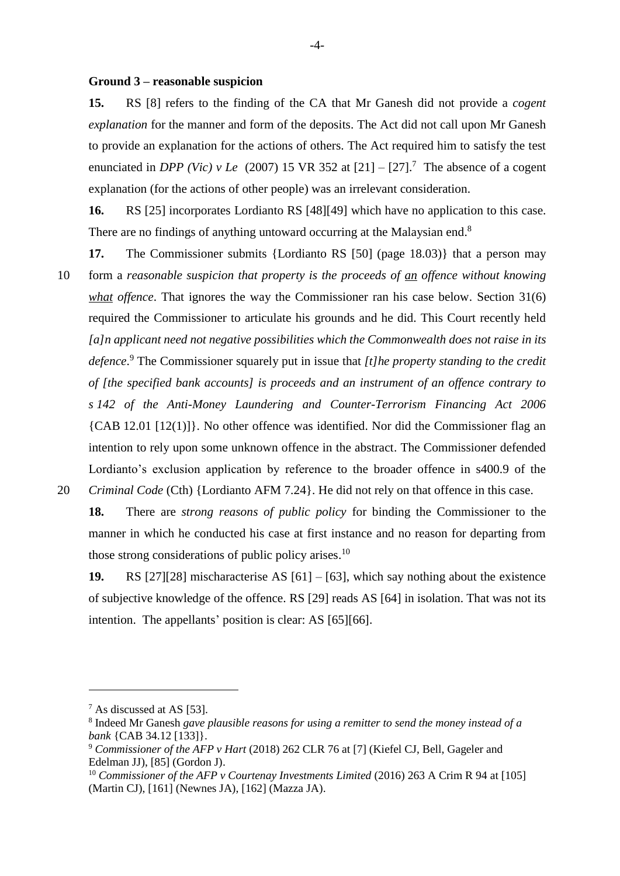#### **Ground 3 – reasonable suspicion**

**15.** RS [8] refers to the finding of the CA that Mr Ganesh did not provide a *cogent explanation* for the manner and form of the deposits. The Act did not call upon Mr Ganesh to provide an explanation for the actions of others. The Act required him to satisfy the test enunciated in *DPP* (Vic) v Le (2007) 15 VR 352 at  $[21] - [27]$ .<sup>7</sup> The absence of a cogent explanation (for the actions of other people) was an irrelevant consideration.

**16.** RS [25] incorporates Lordianto RS [48][49] which have no application to this case. There are no findings of anything untoward occurring at the Malaysian end.<sup>8</sup>

**17.** The Commissioner submits {Lordianto RS [50] (page 18.03)} that a person may 10 form a *reasonable suspicion that property is the proceeds of an offence without knowing what offence*. That ignores the way the Commissioner ran his case below. Section 31(6) required the Commissioner to articulate his grounds and he did. This Court recently held *[a]n applicant need not negative possibilities which the Commonwealth does not raise in its defence*. <sup>9</sup> The Commissioner squarely put in issue that *[t]he property standing to the credit of [the specified bank accounts] is proceeds and an instrument of an offence contrary to s 142 of the Anti-Money Laundering and Counter-Terrorism Financing Act 2006* {CAB 12.01 [12(1)]}. No other offence was identified. Nor did the Commissioner flag an intention to rely upon some unknown offence in the abstract. The Commissioner defended Lordianto's exclusion application by reference to the broader offence in s400.9 of the 20 *Criminal Code* (Cth) {Lordianto AFM 7.24}. He did not rely on that offence in this case.

**18.** There are *strong reasons of public policy* for binding the Commissioner to the manner in which he conducted his case at first instance and no reason for departing from those strong considerations of public policy arises.<sup>10</sup>

**19.** RS [27][28] mischaracterise AS [61] – [63], which say nothing about the existence of subjective knowledge of the offence. RS [29] reads AS [64] in isolation. That was not its intention. The appellants' position is clear: AS [65][66].

<u>.</u>

<sup>7</sup> As discussed at AS [53].

<sup>8</sup> Indeed Mr Ganesh *gave plausible reasons for using a remitter to send the money instead of a bank* {CAB 34.12 [133]}.

<sup>9</sup> *Commissioner of the AFP v Hart* (2018) 262 CLR 76 at [7] (Kiefel CJ, Bell, Gageler and Edelman JJ), [85] (Gordon J).

<sup>&</sup>lt;sup>10</sup> Commissioner of the AFP v Courtenay Investments Limited (2016) 263 A Crim R 94 at [105] (Martin CJ), [161] (Newnes JA), [162] (Mazza JA).